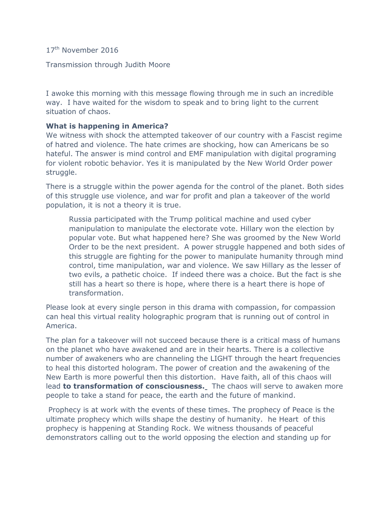17<sup>th</sup> November 2016

#### Transmission through Judith Moore

I awoke this morning with this message flowing through me in such an incredible way. I have waited for the wisdom to speak and to bring light to the current situation of chaos.

### **What is happening in America?**

We witness with shock the attempted takeover of our country with a Fascist regime of hatred and violence. The hate crimes are shocking, how can Americans be so hateful. The answer is mind control and EMF manipulation with digital programing for violent robotic behavior. Yes it is manipulated by the New World Order power struggle.

There is a struggle within the power agenda for the control of the planet. Both sides of this struggle use violence, and war for profit and plan a takeover of the world population, it is not a theory it is true.

Russia participated with the Trump political machine and used cyber manipulation to manipulate the electorate vote. Hillary won the election by popular vote. But what happened here? She was groomed by the New World Order to be the next president. A power struggle happened and both sides of this struggle are fighting for the power to manipulate humanity through mind control, time manipulation, war and violence. We saw Hillary as the lesser of two evils, a pathetic choice. If indeed there was a choice. But the fact is she still has a heart so there is hope, where there is a heart there is hope of transformation.

Please look at every single person in this drama with compassion, for compassion can heal this virtual reality holographic program that is running out of control in America.

The plan for a takeover will not succeed because there is a critical mass of humans on the planet who have awakened and are in their hearts. There is a collective number of awakeners who are channeling the LIGHT through the heart frequencies to heal this distorted hologram. The power of creation and the awakening of the New Earth is more powerful then this distortion. Have faith, all of this chaos will lead **to transformation of consciousness.**The chaos will serve to awaken more people to take a stand for peace, the earth and the future of mankind.

Prophecy is at work with the events of these times. The prophecy of Peace is the ultimate prophecy which wills shape the destiny of humanity. he Heart of this prophecy is happening at Standing Rock. We witness thousands of peaceful demonstrators calling out to the world opposing the election and standing up for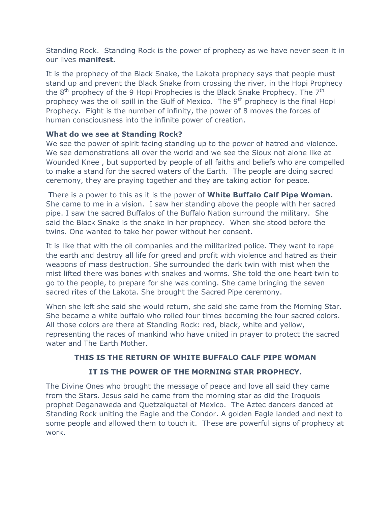Standing Rock. Standing Rock is the power of prophecy as we have never seen it in our lives **manifest.**

It is the prophecy of the Black Snake, the Lakota prophecy says that people must stand up and prevent the Black Snake from crossing the river, in the Hopi Prophecy the  $8<sup>th</sup>$  prophecy of the 9 Hopi Prophecies is the Black Snake Prophecy. The  $7<sup>th</sup>$ prophecy was the oil spill in the Gulf of Mexico. The  $9<sup>th</sup>$  prophecy is the final Hopi Prophecy. Eight is the number of infinity, the power of 8 moves the forces of human consciousness into the infinite power of creation.

### **What do we see at Standing Rock?**

We see the power of spirit facing standing up to the power of hatred and violence. We see demonstrations all over the world and we see the Sioux not alone like at Wounded Knee , but supported by people of all faiths and beliefs who are compelled to make a stand for the sacred waters of the Earth. The people are doing sacred ceremony, they are praying together and they are taking action for peace.

There is a power to this as it is the power of **White Buffalo Calf Pipe Woman.** She came to me in a vision. I saw her standing above the people with her sacred pipe. I saw the sacred Buffalos of the Buffalo Nation surround the military. She said the Black Snake is the snake in her prophecy. When she stood before the twins. One wanted to take her power without her consent.

It is like that with the oil companies and the militarized police. They want to rape the earth and destroy all life for greed and profit with violence and hatred as their weapons of mass destruction. She surrounded the dark twin with mist when the mist lifted there was bones with snakes and worms. She told the one heart twin to go to the people, to prepare for she was coming. She came bringing the seven sacred rites of the Lakota. She brought the Sacred Pipe ceremony.

When she left she said she would return, she said she came from the Morning Star. She became a white buffalo who rolled four times becoming the four sacred colors. All those colors are there at Standing Rock: red, black, white and yellow, representing the races of mankind who have united in prayer to protect the sacred water and The Earth Mother.

# **THIS IS THE RETURN OF WHITE BUFFALO CALF PIPE WOMAN**

# **IT IS THE POWER OF THE MORNING STAR PROPHECY.**

The Divine Ones who brought the message of peace and love all said they came from the Stars. Jesus said he came from the morning star as did the Iroquois prophet Deganaweda and Quetzalquatal of Mexico. The Aztec dancers danced at Standing Rock uniting the Eagle and the Condor. A golden Eagle landed and next to some people and allowed them to touch it. These are powerful signs of prophecy at work.